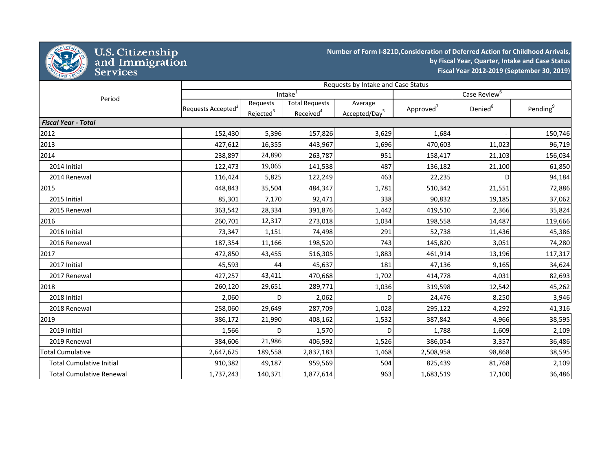

## U.S. Citizenship<br>and Immigration<br>Services

**Number of Form I-821D,Consideration of Deferred Action for Childhood Arrivals, by Fiscal Year, Quarter, Intake and Case Status Fiscal Year 2012-2019 (September 30, 2019)**

|                                 | Requests by Intake and Case Status |                       |                       |                           |                       |                     |                      |  |
|---------------------------------|------------------------------------|-----------------------|-----------------------|---------------------------|-----------------------|---------------------|----------------------|--|
| Period                          |                                    |                       | Intake <sup>1</sup>   | Case Review <sup>6</sup>  |                       |                     |                      |  |
|                                 | Requests Accepted <sup>2</sup>     | Requests              | <b>Total Requests</b> | Average                   | Approved <sup>7</sup> | Denied <sup>8</sup> | Pending <sup>9</sup> |  |
|                                 |                                    | Rejected <sup>3</sup> | Received <sup>4</sup> | Accepted/Day <sup>5</sup> |                       |                     |                      |  |
| <b>Fiscal Year - Total</b>      |                                    |                       |                       |                           |                       |                     |                      |  |
| 2012                            | 152,430                            | 5,396                 | 157,826               | 3,629                     | 1,684                 |                     | 150,746              |  |
| 2013                            | 427,612                            | 16,355                | 443,967               | 1,696                     | 470,603               | 11,023              | 96,719               |  |
| 2014                            | 238,897                            | 24,890                | 263,787               | 951                       | 158,417               | 21,103              | 156,034              |  |
| 2014 Initial                    | 122,473                            | 19,065                | 141,538               | 487                       | 136,182               | 21,100              | 61,850               |  |
| 2014 Renewal                    | 116,424                            | 5,825                 | 122,249               | 463                       | 22,235                | D                   | 94,184               |  |
| 2015                            | 448,843                            | 35,504                | 484,347               | 1,781                     | 510,342               | 21,551              | 72,886               |  |
| 2015 Initial                    | 85,301                             | 7,170                 | 92,471                | 338                       | 90,832                | 19,185              | 37,062               |  |
| 2015 Renewal                    | 363,542                            | 28,334                | 391,876               | 1,442                     | 419,510               | 2,366               | 35,824               |  |
| 2016                            | 260,701                            | 12,317                | 273,018               | 1,034                     | 198,558               | 14,487              | 119,666              |  |
| 2016 Initial                    | 73,347                             | 1,151                 | 74,498                | 291                       | 52,738                | 11,436              | 45,386               |  |
| 2016 Renewal                    | 187,354                            | 11,166                | 198,520               | 743                       | 145,820               | 3,051               | 74,280               |  |
| 2017                            | 472,850                            | 43,455                | 516,305               | 1,883                     | 461,914               | 13,196              | 117,317              |  |
| 2017 Initial                    | 45,593                             | 44                    | 45,637                | 181                       | 47,136                | 9,165               | 34,624               |  |
| 2017 Renewal                    | 427,257                            | 43,411                | 470,668               | 1,702                     | 414,778               | 4,031               | 82,693               |  |
| 2018                            | 260,120                            | 29,651                | 289,771               | 1,036                     | 319,598               | 12,542              | 45,262               |  |
| 2018 Initial                    | 2,060                              | D                     | 2,062                 | D                         | 24,476                | 8,250               | 3,946                |  |
| 2018 Renewal                    | 258,060                            | 29,649                | 287,709               | 1,028                     | 295,122               | 4,292               | 41,316               |  |
| 2019                            | 386,172                            | 21,990                | 408,162               | 1,532                     | 387,842               | 4,966               | 38,595               |  |
| 2019 Initial                    | 1,566                              | D                     | 1,570                 | $\mathsf{D}$              | 1,788                 | 1,609               | 2,109                |  |
| 2019 Renewal                    | 384,606                            | 21,986                | 406,592               | 1,526                     | 386,054               | 3,357               | 36,486               |  |
| <b>Total Cumulative</b>         | 2,647,625                          | 189,558               | 2,837,183             | 1,468                     | 2,508,958             | 98,868              | 38,595               |  |
| <b>Total Cumulative Initial</b> | 910,382                            | 49,187                | 959,569               | 504                       | 825,439               | 81,768              | 2,109                |  |
| <b>Total Cumulative Renewal</b> | 1,737,243                          | 140,371               | 1,877,614             | 963                       | 1,683,519             | 17,100              | 36,486               |  |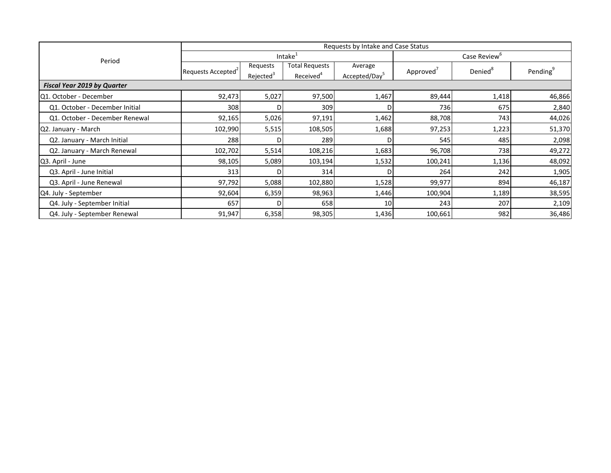| Period                             | Requests by Intake and Case Status |                                   |                                                |                                      |                       |                     |                      |  |
|------------------------------------|------------------------------------|-----------------------------------|------------------------------------------------|--------------------------------------|-----------------------|---------------------|----------------------|--|
|                                    |                                    |                                   | Intake <sup>1</sup>                            | Case Review <sup>b</sup>             |                       |                     |                      |  |
|                                    | Requests Accepted <sup>2</sup>     | Requests<br>Rejected <sup>3</sup> | <b>Total Requests</b><br>Received <sup>4</sup> | Average<br>Accepted/Day <sup>5</sup> | Approved <sup>'</sup> | Denied <sup>8</sup> | Pending <sup>9</sup> |  |
| <b>Fiscal Year 2019 by Quarter</b> |                                    |                                   |                                                |                                      |                       |                     |                      |  |
| Q1. October - December             | 92,473                             | 5,027                             | 97,500                                         | 1,467                                | 89,444                | 1,418               | 46,866               |  |
| Q1. October - December Initial     | 308                                | D                                 | 309                                            |                                      | 736                   | 675                 | 2,840                |  |
| Q1. October - December Renewal     | 92,165                             | 5,026                             | 97,191                                         | 1,462                                | 88,708                | 743                 | 44,026               |  |
| Q2. January - March                | 102,990                            | 5,515                             | 108,505                                        | 1,688                                | 97,253                | 1,223               | 51,370               |  |
| Q2. January - March Initial        | 288                                |                                   | 289                                            |                                      | 545                   | 485                 | 2,098                |  |
| Q2. January - March Renewal        | 102,702                            | 5,514                             | 108,216                                        | 1,683                                | 96,708                | 738                 | 49,272               |  |
| Q3. April - June                   | 98,105                             | 5,089                             | 103,194                                        | 1,532                                | 100,241               | 1,136               | 48,092               |  |
| Q3. April - June Initial           | 313                                | D.                                | 314                                            |                                      | 264                   | 242                 | 1,905                |  |
| Q3. April - June Renewal           | 97,792                             | 5,088                             | 102,880                                        | 1,528                                | 99,977                | 894                 | 46,187               |  |
| Q4. July - September               | 92,604                             | 6,359                             | 98,963                                         | 1,446                                | 100,904               | 1,189               | 38,595               |  |
| Q4. July - September Initial       | 657                                | D.                                | 658                                            | 10                                   | 243                   | 207                 | 2,109                |  |
| Q4. July - September Renewal       | 91,947                             | 6,358                             | 98,305                                         | 1,436                                | 100,661               | 982                 | 36,486               |  |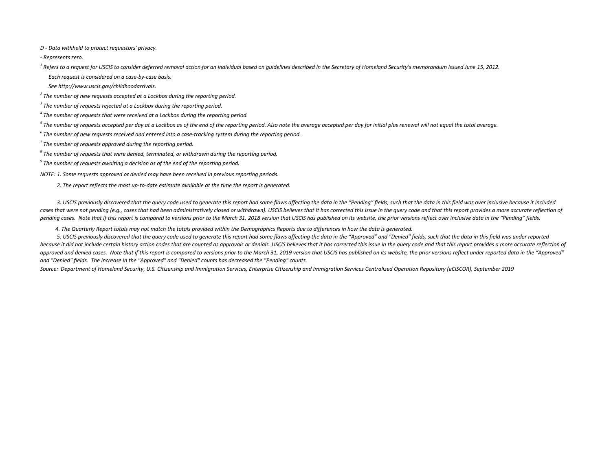*D - Data withheld to protect requestors' privacy.*

*- Represents zero.*

<sup>1</sup> Refers to a request for USCIS to consider deferred removal action for an individual based on quidelines described in the Secretary of Homeland Security's memorandum issued June 15, 2012.  *Each request is considered on a case-by-case basis.*

 *See http://www.uscis.gov/childhoodarrivals.*

*<sup>2</sup> The number of new requests accepted at a Lockbox during the reporting period.*

*<sup>3</sup> The number of requests rejected at a Lockbox during the reporting period.*

*<sup>4</sup> The number of requests that were received at a Lockbox during the reporting period.*

*<sup>5</sup> The number of requests accepted per day at a Lockbox as of the end of the reporting period. Also note the average accepted per day for initial plus renewal will not equal the total average.*

*<sup>6</sup> The number of new requests received and entered into a case-tracking system during the reporting period.*

*<sup>7</sup> The number of requests approved during the reporting period.*

*<sup>8</sup> The number of requests that were denied, terminated, or withdrawn during the reporting period.*

*<sup>9</sup> The number of requests awaiting a decision as of the end of the reporting period.*

*NOTE: 1. Some requests approved or denied may have been received in previous reporting periods.*

 *2. The report reflects the most up-to-date estimate available at the time the report is generated.*

 *3. USCIS previously discovered that the query code used to generate this report had some flaws affecting the data in the "Pending" fields, such that the data in this field was over inclusive because it included*  cases that were not pending (e.g., cases that had been administratively closed or withdrawn). USCIS believes that it has corrected this issue in the query code and that this report provides a more accurate reflection of *pending cases. Note that if this report is compared to versions prior to the March 31, 2018 version that USCIS has published on its website, the prior versions reflect over inclusive data in the "Pending" fields.*

 *4. The Quarterly Report totals may not match the totals provided within the Demographics Reports due to differences in how the data is generated.*

 *5. USCIS previously discovered that the query code used to generate this report had some flaws affecting the data in the "Approved" and "Denied" fields, such that the data in this field was under reported*  because it did not include certain history action codes that are counted as approvals or denials. USCIS believes that it has corrected this issue in the query code and that this report provides a more accurate reflection o approved and denied cases. Note that if this report is compared to versions prior to the March 31, 2019 version that USCIS has published on its website, the prior versions reflect under reported data in the "Approved" *and "Denied" fields. The increase in the "Approved" and "Denied" counts has decreased the "Pending" counts.*

*Source: Department of Homeland Security, U.S. Citizenship and Immigration Services, Enterprise Citizenship and Immigration Services Centralized Operation Repository (eCISCOR), September 2019*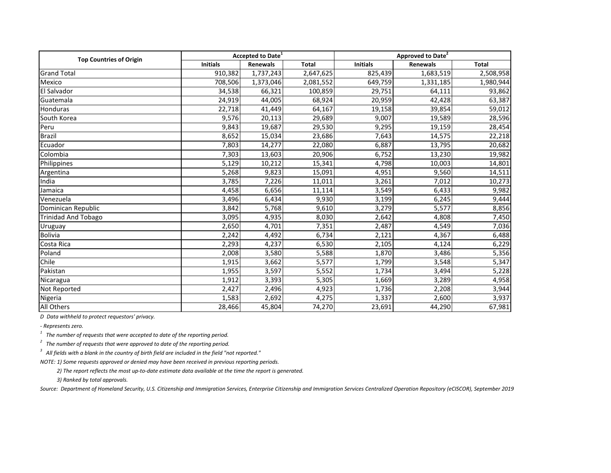| <b>Top Countries of Origin</b> |                 | <b>Accepted to Date</b> <sup>1</sup> |              | Approved to Date <sup>2</sup> |                 |              |  |
|--------------------------------|-----------------|--------------------------------------|--------------|-------------------------------|-----------------|--------------|--|
|                                | <b>Initials</b> | Renewals                             | <b>Total</b> | <b>Initials</b>               | <b>Renewals</b> | <b>Total</b> |  |
| <b>Grand Total</b>             | 910,382         | 1,737,243                            | 2,647,625    | 825,439                       | 1,683,519       | 2,508,958    |  |
| Mexico                         | 708,506         | 1,373,046                            | 2,081,552    | 649,759                       | 1,331,185       | 1,980,944    |  |
| El Salvador                    | 34,538          | 66,321                               | 100,859      | 29,751                        | 64,111          | 93,862       |  |
| Guatemala                      | 24,919          | 44,005                               | 68,924       | 20,959                        | 42,428          | 63,387       |  |
| Honduras                       | 22,718          | 41,449                               | 64,167       | 19,158                        | 39,854          | 59,012       |  |
| South Korea                    | 9,576           | 20,113                               | 29,689       | 9,007                         | 19,589          | 28,596       |  |
| Peru                           | 9,843           | 19,687                               | 29,530       | 9,295                         | 19,159          | 28,454       |  |
| Brazil                         | 8,652           | 15,034                               | 23,686       | 7,643                         | 14,575          | 22,218       |  |
| Ecuador                        | 7,803           | 14,277                               | 22,080       | 6,887                         | 13,795          | 20,682       |  |
| Colombia                       | 7,303           | 13,603                               | 20,906       | 6,752                         | 13,230          | 19,982       |  |
| Philippines                    | 5,129           | 10,212                               | 15,341       | 4,798                         | 10,003          | 14,801       |  |
| Argentina                      | 5,268           | 9,823                                | 15,091       | 4,951                         | 9,560           | 14,511       |  |
| India                          | 3,785           | 7,226                                | 11,011       | 3,261                         | 7,012           | 10,273       |  |
| Jamaica                        | 4,458           | 6,656                                | 11,114       | 3,549                         | 6,433           | 9,982        |  |
| Venezuela                      | 3,496           | 6,434                                | 9,930        | 3,199                         | 6,245           | 9,444        |  |
| Dominican Republic             | 3,842           | 5,768                                | 9,610        | 3,279                         | 5,577           | 8,856        |  |
| <b>Trinidad And Tobago</b>     | 3,095           | 4,935                                | 8,030        | 2,642                         | 4,808           | 7,450        |  |
| Uruguay                        | 2,650           | 4,701                                | 7,351        | 2,487                         | 4,549           | 7,036        |  |
| <b>Bolivia</b>                 | 2,242           | 4,492                                | 6,734        | 2,121                         | 4,367           | 6,488        |  |
| Costa Rica                     | 2,293           | 4,237                                | 6,530        | 2,105                         | 4,124           | 6,229        |  |
| Poland                         | 2,008           | 3,580                                | 5,588        | 1,870                         | 3,486           | 5,356        |  |
| Chile                          | 1,915           | 3,662                                | 5,577        | 1,799                         | 3,548           | 5,347        |  |
| Pakistan                       | 1,955           | 3,597                                | 5,552        | 1,734                         | 3,494           | 5,228        |  |
| Nicaragua                      | 1,912           | 3,393                                | 5,305        | 1,669                         | 3,289           | 4,958        |  |
| Not Reported                   | 2,427           | 2,496                                | 4,923        | 1,736                         | 2,208           | 3,944        |  |
| Nigeria                        | 1,583           | 2,692                                | 4,275        | 1,337                         | 2,600           | 3,937        |  |
| All Others                     | 28,466          | 45,804                               | 74,270       | 23,691                        | 44,290          | 67,981       |  |

*D Data withheld to protect requestors' privacy.*

*- Represents zero.*

*1 The number of requests that were accepted to date of the reporting period.*

*2 The number of requests that were approved to date of the reporting period.*

*3 All fields with a blank in the country of birth field are included in the field "not reported."*

*NOTE: 1) Some requests approved or denied may have been received in previous reporting periods.* 

 *2) The report reflects the most up-to-date estimate data available at the time the report is generated.*

 *3) Ranked by total approvals.*

*Source: Department of Homeland Security, U.S. Citizenship and Immigration Services, Enterprise Citizenship and Immigration Services Centralized Operation Repository (eCISCOR), September 2019*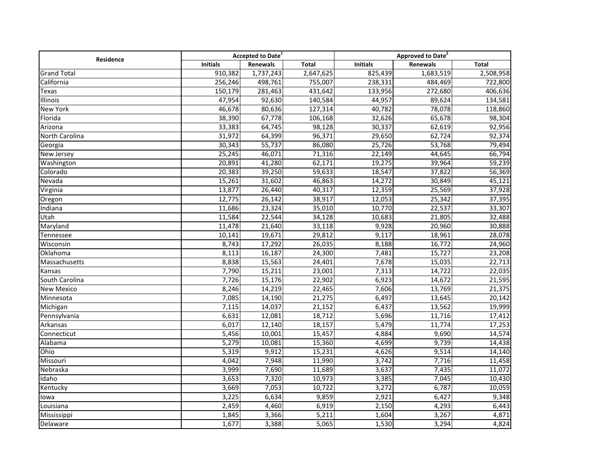| Residence          | Accepted to Date <sup>1</sup> |           |              | Approved to Date <sup>2</sup> |           |              |
|--------------------|-------------------------------|-----------|--------------|-------------------------------|-----------|--------------|
|                    | <b>Initials</b>               | Renewals  | <b>Total</b> | <b>Initials</b>               | Renewals  | <b>Total</b> |
| <b>Grand Total</b> | 910,382                       | 1,737,243 | 2,647,625    | 825,439                       | 1,683,519 | 2,508,958    |
| California         | 256,246                       | 498,761   | 755,007      | 238,331                       | 484,469   | 722,800      |
| Texas              | 150,179                       | 281,463   | 431,642      | 133,956                       | 272,680   | 406,636      |
| Illinois           | 47,954                        | 92,630    | 140,584      | 44,957                        | 89,624    | 134,581      |
| <b>New York</b>    | 46,678                        | 80,636    | 127,314      | 40,782                        | 78,078    | 118,860      |
| Florida            | 38,390                        | 67,778    | 106,168      | 32,626                        | 65,678    | 98,304       |
| Arizona            | 33,383                        | 64,745    | 98,128       | 30,337                        | 62,619    | 92,956       |
| North Carolina     | 31,972                        | 64,399    | 96,371       | 29,650                        | 62,724    | 92,374       |
| Georgia            | 30,343                        | 55,737    | 86,080       | 25,726                        | 53,768    | 79,494       |
| <b>New Jersey</b>  | 25,245                        | 46,071    | 71,316       | 22,149                        | 44,645    | 66,794       |
| Washington         | 20,891                        | 41,280    | 62,171       | 19,275                        | 39,964    | 59,239       |
| Colorado           | 20,383                        | 39,250    | 59,633       | 18,547                        | 37,822    | 56,369       |
| Nevada             | 15,261                        | 31,602    | 46,863       | 14,272                        | 30,849    | 45,121       |
| Virginia           | 13,877                        | 26,440    | 40,317       | 12,359                        | 25,569    | 37,928       |
| Oregon             | 12,775                        | 26,142    | 38,917       | 12,053                        | 25,342    | 37,395       |
| Indiana            | 11,686                        | 23,324    | 35,010       | 10,770                        | 22,537    | 33,307       |
| Utah               | 11,584                        | 22,544    | 34,128       | 10,683                        | 21,805    | 32,488       |
| Maryland           | 11,478                        | 21,640    | 33,118       | 9,928                         | 20,960    | 30,888       |
| Tennessee          | 10,141                        | 19,671    | 29,812       | 9,117                         | 18,961    | 28,078       |
| Wisconsin          | 8,743                         | 17,292    | 26,035       | 8,188                         | 16,772    | 24,960       |
| Oklahoma           | 8,113                         | 16,187    | 24,300       | 7,481                         | 15,727    | 23,208       |
| Massachusetts      | 8,838                         | 15,563    | 24,401       | 7,678                         | 15,035    | 22,713       |
| Kansas             | 7,790                         | 15,211    | 23,001       | 7,313                         | 14,722    | 22,035       |
| South Carolina     | 7,726                         | 15,176    | 22,902       | 6,923                         | 14,672    | 21,595       |
| <b>New Mexico</b>  | 8,246                         | 14,219    | 22,465       | 7,606                         | 13,769    | 21,375       |
| Minnesota          | 7,085                         | 14,190    | 21,275       | 6,497                         | 13,645    | 20,142       |
| Michigan           | 7,115                         | 14,037    | 21,152       | 6,437                         | 13,562    | 19,999       |
| Pennsylvania       | 6,631                         | 12,081    | 18,712       | 5,696                         | 11,716    | 17,412       |
| Arkansas           | 6,017                         | 12,140    | 18,157       | 5,479                         | 11,774    | 17,253       |
| Connecticut        | 5,456                         | 10,001    | 15,457       | 4,884                         | 9,690     | 14,574       |
| Alabama            | 5,279                         | 10,081    | 15,360       | 4,699                         | 9,739     | 14,438       |
| Ohio               | 5,319                         | 9,912     | 15,231       | 4,626                         | 9,514     | 14,140       |
| Missouri           | 4,042                         | 7,948     | 11,990       | 3,742                         | 7,716     | 11,458       |
| Nebraska           | 3,999                         | 7,690     | 11,689       | 3,637                         | 7,435     | 11,072       |
| Idaho              | 3,653                         | 7,320     | 10,973       | 3,385                         | 7,045     | 10,430       |
| Kentucky           | 3,669                         | 7,053     | 10,722       | 3,272                         | 6,787     | 10,059       |
| lowa               | 3,225                         | 6,634     | 9,859        | 2,921                         | 6,427     | 9,348        |
| Louisiana          | 2,459                         | 4,460     | 6,919        | 2,150                         | 4,293     | 6,443        |
| Mississippi        | 1,845                         | 3,366     | 5,211        | 1,604                         | 3,267     | 4,871        |
| Delaware           | 1,677                         | 3,388     | 5,065        | 1,530                         | 3,294     | 4,824        |